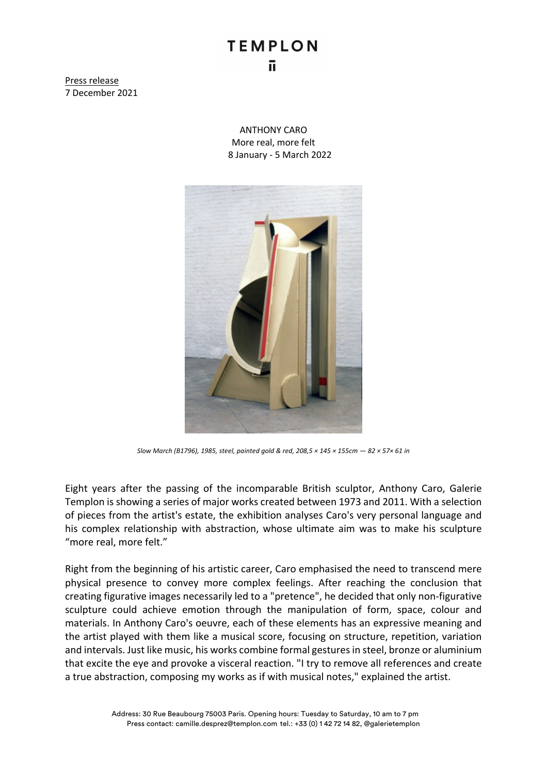## **TEMPLON** ū

Press release 7 December 2021

> ANTHONY CARO More real, more felt 8 January - 5 March 2022



*Slow March (B1796), 1985, steel, painted gold & red, 208,5 × 145 × 155cm — 82 × 57× 61 in*

Eight years after the passing of the incomparable British sculptor, Anthony Caro, Galerie Templon is showing a series of major works created between 1973 and 2011. With a selection of pieces from the artist's estate, the exhibition analyses Caro's very personal language and his complex relationship with abstraction, whose ultimate aim was to make his sculpture "more real, more felt."

Right from the beginning of his artistic career, Caro emphasised the need to transcend mere physical presence to convey more complex feelings. After reaching the conclusion that creating figurative images necessarily led to a "pretence", he decided that only non-figurative sculpture could achieve emotion through the manipulation of form, space, colour and materials. In Anthony Caro's oeuvre, each of these elements has an expressive meaning and the artist played with them like a musical score, focusing on structure, repetition, variation and intervals. Just like music, his works combine formal gestures in steel, bronze or aluminium that excite the eye and provoke a visceral reaction. "I try to remove all references and create a true abstraction, composing my works as if with musical notes," explained the artist.